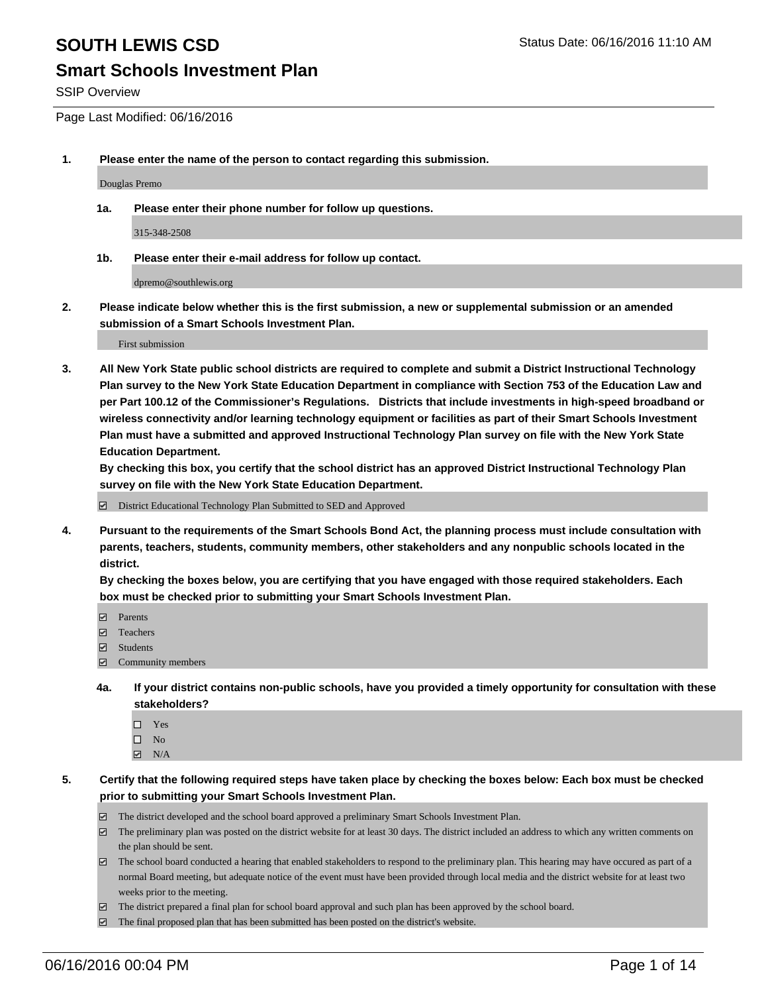## **Smart Schools Investment Plan**

SSIP Overview

Page Last Modified: 06/16/2016

**1. Please enter the name of the person to contact regarding this submission.**

Douglas Premo

**1a. Please enter their phone number for follow up questions.**

315-348-2508

**1b. Please enter their e-mail address for follow up contact.**

dpremo@southlewis.org

**2. Please indicate below whether this is the first submission, a new or supplemental submission or an amended submission of a Smart Schools Investment Plan.**

First submission

**3. All New York State public school districts are required to complete and submit a District Instructional Technology Plan survey to the New York State Education Department in compliance with Section 753 of the Education Law and per Part 100.12 of the Commissioner's Regulations. Districts that include investments in high-speed broadband or wireless connectivity and/or learning technology equipment or facilities as part of their Smart Schools Investment Plan must have a submitted and approved Instructional Technology Plan survey on file with the New York State Education Department.** 

**By checking this box, you certify that the school district has an approved District Instructional Technology Plan survey on file with the New York State Education Department.**

District Educational Technology Plan Submitted to SED and Approved

**4. Pursuant to the requirements of the Smart Schools Bond Act, the planning process must include consultation with parents, teachers, students, community members, other stakeholders and any nonpublic schools located in the district.** 

**By checking the boxes below, you are certifying that you have engaged with those required stakeholders. Each box must be checked prior to submitting your Smart Schools Investment Plan.**

- **Parents**
- □ Teachers
- $\blacksquare$  Students
- Community members
- **4a. If your district contains non-public schools, have you provided a timely opportunity for consultation with these stakeholders?**
	- $\Box$  Yes  $\square$  No
	- $\boxtimes$  N/A
- **5. Certify that the following required steps have taken place by checking the boxes below: Each box must be checked prior to submitting your Smart Schools Investment Plan.**
	- The district developed and the school board approved a preliminary Smart Schools Investment Plan.
	- $\boxdot$  The preliminary plan was posted on the district website for at least 30 days. The district included an address to which any written comments on the plan should be sent.
	- $\Box$  The school board conducted a hearing that enabled stakeholders to respond to the preliminary plan. This hearing may have occured as part of a normal Board meeting, but adequate notice of the event must have been provided through local media and the district website for at least two weeks prior to the meeting.
	- The district prepared a final plan for school board approval and such plan has been approved by the school board.
	- $\boxdot$  The final proposed plan that has been submitted has been posted on the district's website.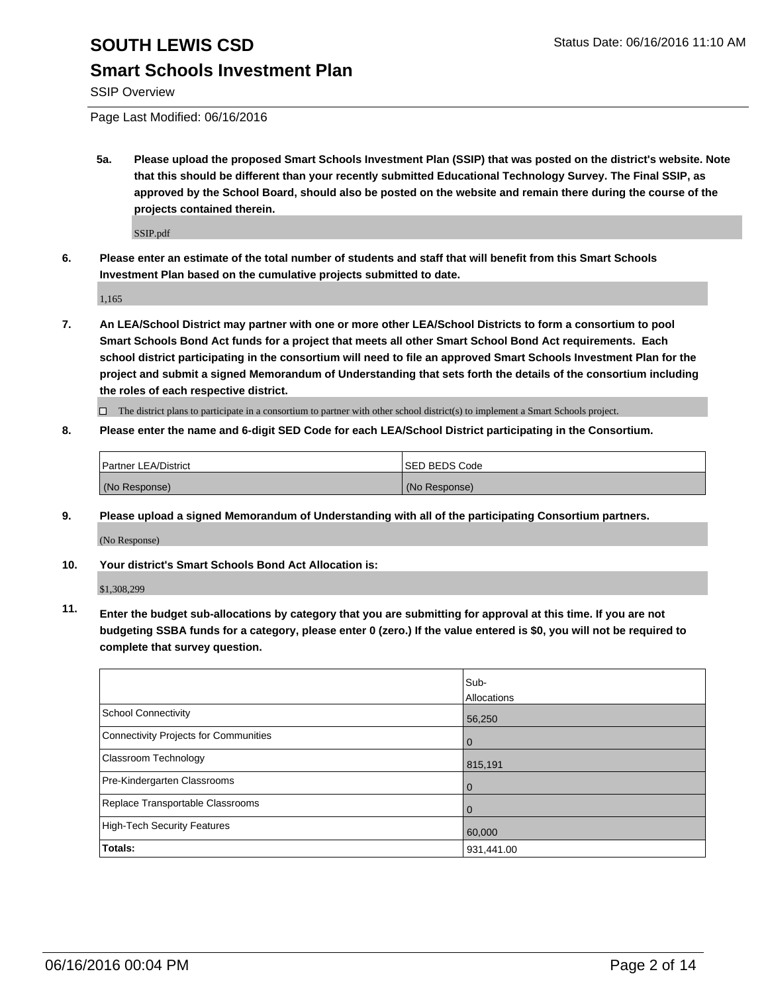## **Smart Schools Investment Plan**

SSIP Overview

Page Last Modified: 06/16/2016

**5a. Please upload the proposed Smart Schools Investment Plan (SSIP) that was posted on the district's website. Note that this should be different than your recently submitted Educational Technology Survey. The Final SSIP, as approved by the School Board, should also be posted on the website and remain there during the course of the projects contained therein.**

SSIP.pdf

**6. Please enter an estimate of the total number of students and staff that will benefit from this Smart Schools Investment Plan based on the cumulative projects submitted to date.**

1,165

**7. An LEA/School District may partner with one or more other LEA/School Districts to form a consortium to pool Smart Schools Bond Act funds for a project that meets all other Smart School Bond Act requirements. Each school district participating in the consortium will need to file an approved Smart Schools Investment Plan for the project and submit a signed Memorandum of Understanding that sets forth the details of the consortium including the roles of each respective district.**

 $\Box$  The district plans to participate in a consortium to partner with other school district(s) to implement a Smart Schools project.

**8. Please enter the name and 6-digit SED Code for each LEA/School District participating in the Consortium.**

| <b>Partner LEA/District</b> | ISED BEDS Code |
|-----------------------------|----------------|
| (No Response)               | (No Response)  |

**9. Please upload a signed Memorandum of Understanding with all of the participating Consortium partners.**

(No Response)

**10. Your district's Smart Schools Bond Act Allocation is:**

\$1,308,299

**11. Enter the budget sub-allocations by category that you are submitting for approval at this time. If you are not budgeting SSBA funds for a category, please enter 0 (zero.) If the value entered is \$0, you will not be required to complete that survey question.**

|                                       | Sub-        |
|---------------------------------------|-------------|
|                                       | Allocations |
| <b>School Connectivity</b>            | 56,250      |
| Connectivity Projects for Communities | $\Omega$    |
| Classroom Technology                  | 815,191     |
| Pre-Kindergarten Classrooms           | $\Omega$    |
| Replace Transportable Classrooms      | $\Omega$    |
| High-Tech Security Features           | 60,000      |
| <b>Totals:</b>                        | 931,441.00  |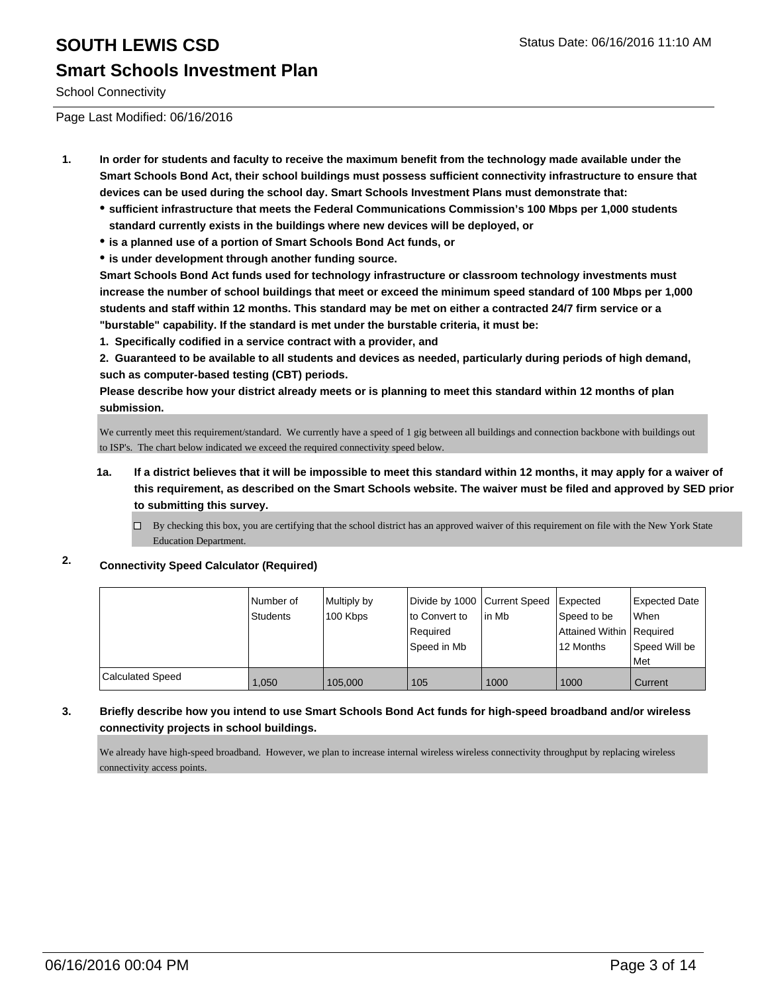School Connectivity

Page Last Modified: 06/16/2016

- **1. In order for students and faculty to receive the maximum benefit from the technology made available under the Smart Schools Bond Act, their school buildings must possess sufficient connectivity infrastructure to ensure that devices can be used during the school day. Smart Schools Investment Plans must demonstrate that:**
	- **sufficient infrastructure that meets the Federal Communications Commission's 100 Mbps per 1,000 students standard currently exists in the buildings where new devices will be deployed, or**
	- **is a planned use of a portion of Smart Schools Bond Act funds, or**
	- **is under development through another funding source.**

**Smart Schools Bond Act funds used for technology infrastructure or classroom technology investments must increase the number of school buildings that meet or exceed the minimum speed standard of 100 Mbps per 1,000 students and staff within 12 months. This standard may be met on either a contracted 24/7 firm service or a "burstable" capability. If the standard is met under the burstable criteria, it must be:**

**1. Specifically codified in a service contract with a provider, and**

**2. Guaranteed to be available to all students and devices as needed, particularly during periods of high demand, such as computer-based testing (CBT) periods.**

**Please describe how your district already meets or is planning to meet this standard within 12 months of plan submission.**

We currently meet this requirement/standard. We currently have a speed of 1 gig between all buildings and connection backbone with buildings out to ISP's. The chart below indicated we exceed the required connectivity speed below.

- **1a. If a district believes that it will be impossible to meet this standard within 12 months, it may apply for a waiver of this requirement, as described on the Smart Schools website. The waiver must be filed and approved by SED prior to submitting this survey.**
	- $\Box$  By checking this box, you are certifying that the school district has an approved waiver of this requirement on file with the New York State Education Department.

#### **2. Connectivity Speed Calculator (Required)**

|                         | l Number of<br>Students | Multiply by<br>100 Kbps | Divide by 1000 Current Speed<br>to Convert to<br>Required<br>Speed in Mb | lin Mb | Expected<br>Speed to be<br>Attained Within   Required<br>12 Months | <b>Expected Date</b><br>When<br>Speed Will be<br>Met |
|-------------------------|-------------------------|-------------------------|--------------------------------------------------------------------------|--------|--------------------------------------------------------------------|------------------------------------------------------|
| <b>Calculated Speed</b> | 1.050                   | 105,000                 | 105                                                                      | 1000   | 1000                                                               | Current                                              |

#### **3. Briefly describe how you intend to use Smart Schools Bond Act funds for high-speed broadband and/or wireless connectivity projects in school buildings.**

We already have high-speed broadband. However, we plan to increase internal wireless wireless connectivity throughput by replacing wireless connectivity access points.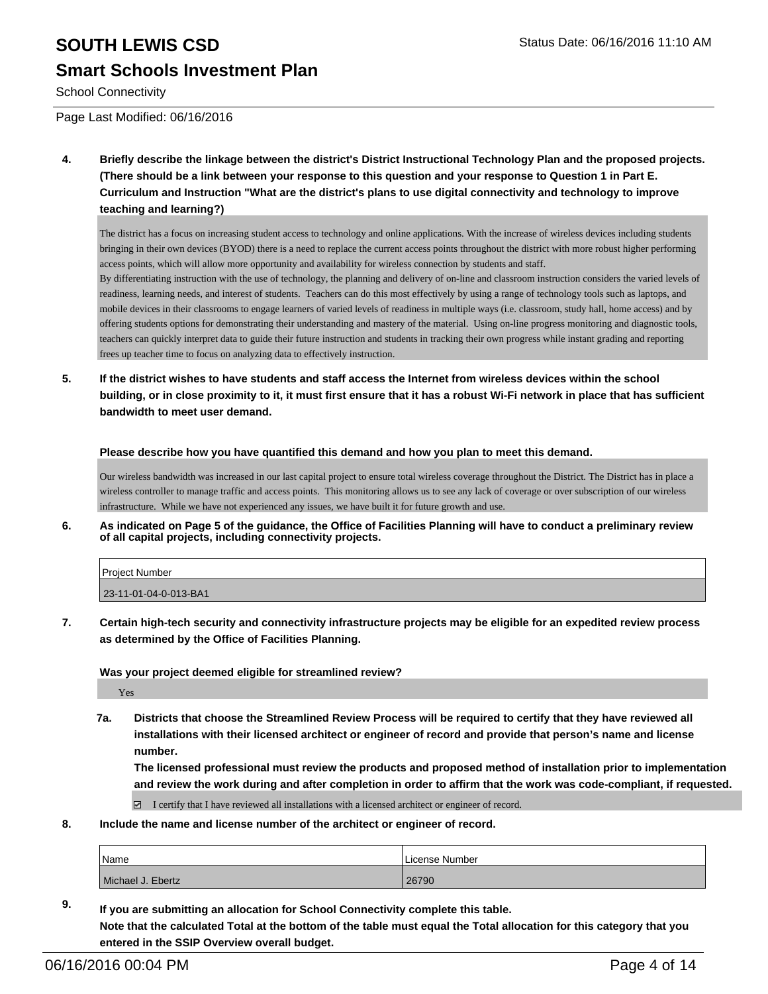School Connectivity

Page Last Modified: 06/16/2016

**4. Briefly describe the linkage between the district's District Instructional Technology Plan and the proposed projects. (There should be a link between your response to this question and your response to Question 1 in Part E. Curriculum and Instruction "What are the district's plans to use digital connectivity and technology to improve teaching and learning?)**

The district has a focus on increasing student access to technology and online applications. With the increase of wireless devices including students bringing in their own devices (BYOD) there is a need to replace the current access points throughout the district with more robust higher performing access points, which will allow more opportunity and availability for wireless connection by students and staff.

By differentiating instruction with the use of technology, the planning and delivery of on-line and classroom instruction considers the varied levels of readiness, learning needs, and interest of students. Teachers can do this most effectively by using a range of technology tools such as laptops, and mobile devices in their classrooms to engage learners of varied levels of readiness in multiple ways (i.e. classroom, study hall, home access) and by offering students options for demonstrating their understanding and mastery of the material. Using on-line progress monitoring and diagnostic tools, teachers can quickly interpret data to guide their future instruction and students in tracking their own progress while instant grading and reporting frees up teacher time to focus on analyzing data to effectively instruction.

**5. If the district wishes to have students and staff access the Internet from wireless devices within the school building, or in close proximity to it, it must first ensure that it has a robust Wi-Fi network in place that has sufficient bandwidth to meet user demand.**

**Please describe how you have quantified this demand and how you plan to meet this demand.**

Our wireless bandwidth was increased in our last capital project to ensure total wireless coverage throughout the District. The District has in place a wireless controller to manage traffic and access points. This monitoring allows us to see any lack of coverage or over subscription of our wireless infrastructure. While we have not experienced any issues, we have built it for future growth and use.

**6. As indicated on Page 5 of the guidance, the Office of Facilities Planning will have to conduct a preliminary review of all capital projects, including connectivity projects.**

| <b>Project Number</b> |  |
|-----------------------|--|
| 23-11-01-04-0-013-BA1 |  |

**7. Certain high-tech security and connectivity infrastructure projects may be eligible for an expedited review process as determined by the Office of Facilities Planning.**

**Was your project deemed eligible for streamlined review?**

Yes

**7a. Districts that choose the Streamlined Review Process will be required to certify that they have reviewed all installations with their licensed architect or engineer of record and provide that person's name and license number.**

**The licensed professional must review the products and proposed method of installation prior to implementation and review the work during and after completion in order to affirm that the work was code-compliant, if requested.**

 $\boxtimes$  I certify that I have reviewed all installations with a licensed architect or engineer of record.

**8. Include the name and license number of the architect or engineer of record.**

| <i>N</i> ame      | License Number |
|-------------------|----------------|
| Michael J. Ebertz | 26790          |

**9. If you are submitting an allocation for School Connectivity complete this table. Note that the calculated Total at the bottom of the table must equal the Total allocation for this category that you entered in the SSIP Overview overall budget.**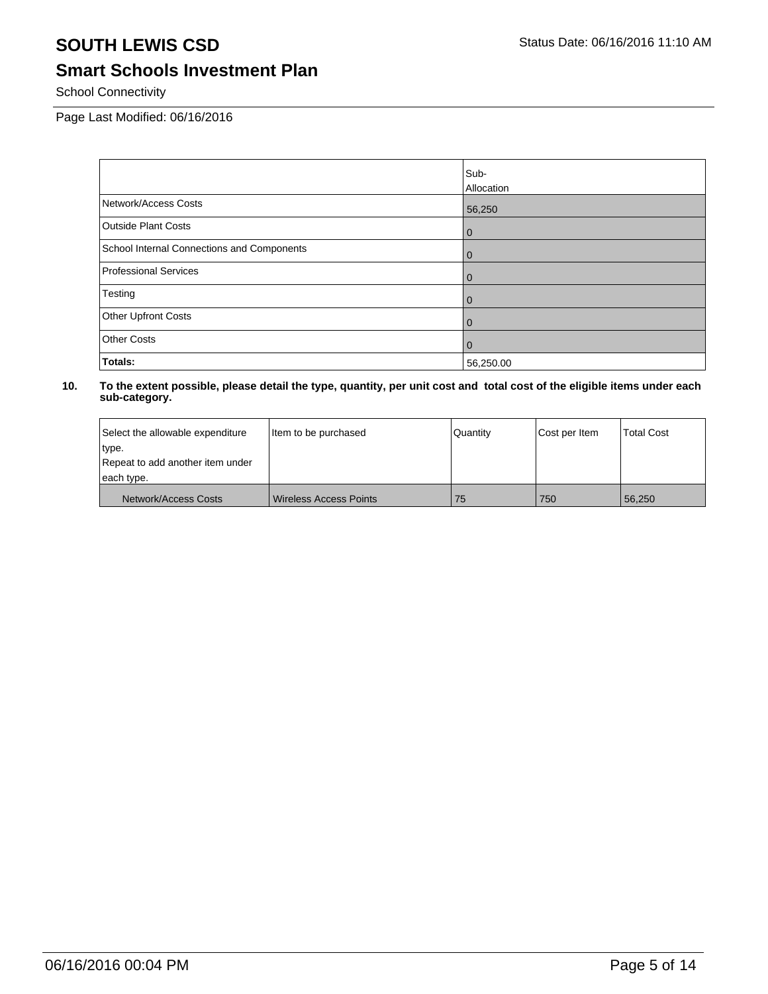# **Smart Schools Investment Plan**

School Connectivity

Page Last Modified: 06/16/2016

|                                            | Sub-           |
|--------------------------------------------|----------------|
|                                            | Allocation     |
| Network/Access Costs                       | 56,250         |
| <b>Outside Plant Costs</b>                 | $\overline{0}$ |
| School Internal Connections and Components | $\overline{0}$ |
| <b>Professional Services</b>               | $\overline{0}$ |
| Testing                                    | $\overline{0}$ |
| Other Upfront Costs                        | l 0            |
| <b>Other Costs</b>                         | l 0            |
| Totals:                                    | 56,250.00      |

| Select the allowable expenditure | Item to be purchased          | Quantity | Cost per Item | <b>Total Cost</b> |
|----------------------------------|-------------------------------|----------|---------------|-------------------|
| type.                            |                               |          |               |                   |
| Repeat to add another item under |                               |          |               |                   |
| each type.                       |                               |          |               |                   |
| Network/Access Costs             | <b>Wireless Access Points</b> | 75       | 750           | 56.250            |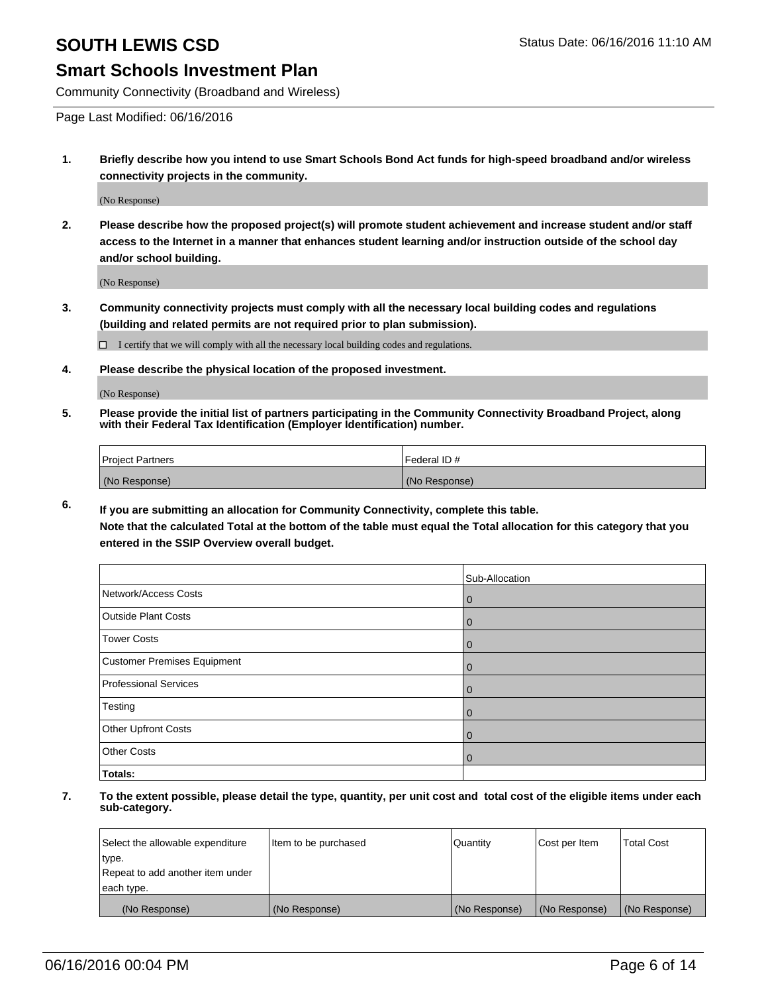#### **Smart Schools Investment Plan**

Community Connectivity (Broadband and Wireless)

Page Last Modified: 06/16/2016

**1. Briefly describe how you intend to use Smart Schools Bond Act funds for high-speed broadband and/or wireless connectivity projects in the community.**

(No Response)

**2. Please describe how the proposed project(s) will promote student achievement and increase student and/or staff access to the Internet in a manner that enhances student learning and/or instruction outside of the school day and/or school building.**

(No Response)

**3. Community connectivity projects must comply with all the necessary local building codes and regulations (building and related permits are not required prior to plan submission).**

 $\Box$  I certify that we will comply with all the necessary local building codes and regulations.

**4. Please describe the physical location of the proposed investment.**

(No Response)

**5. Please provide the initial list of partners participating in the Community Connectivity Broadband Project, along with their Federal Tax Identification (Employer Identification) number.**

| Project Partners | <b>IFederal ID#</b> |
|------------------|---------------------|
| (No Response)    | (No Response)       |

**6. If you are submitting an allocation for Community Connectivity, complete this table.**

**Note that the calculated Total at the bottom of the table must equal the Total allocation for this category that you entered in the SSIP Overview overall budget.**

|                             | Sub-Allocation |
|-----------------------------|----------------|
| Network/Access Costs        | $\bf{0}$       |
| <b>Outside Plant Costs</b>  | 0              |
| <b>Tower Costs</b>          | 0              |
| Customer Premises Equipment | 0              |
| Professional Services       | $\cup$         |
| Testing                     |                |
| Other Upfront Costs         |                |
| <b>Other Costs</b>          |                |
| Totals:                     |                |

| Select the allowable expenditure | Item to be purchased | Quantity      | Cost per Item | <b>Total Cost</b> |
|----------------------------------|----------------------|---------------|---------------|-------------------|
| type.                            |                      |               |               |                   |
| Repeat to add another item under |                      |               |               |                   |
| each type.                       |                      |               |               |                   |
| (No Response)                    | (No Response)        | (No Response) | (No Response) | (No Response)     |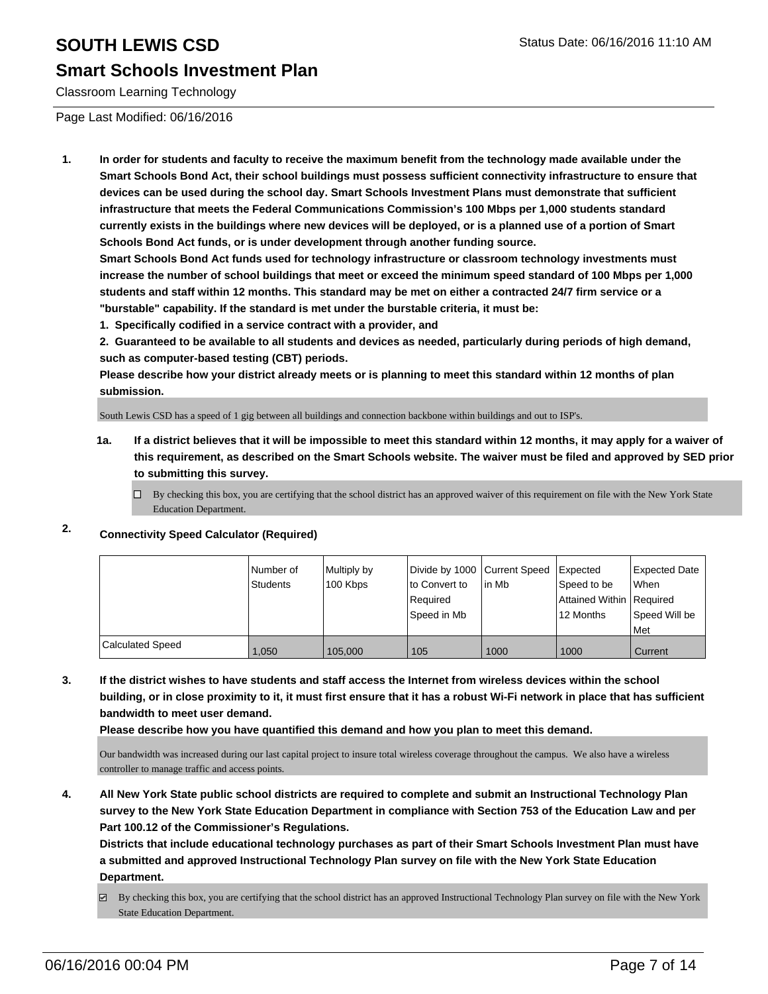Classroom Learning Technology

Page Last Modified: 06/16/2016

**1. In order for students and faculty to receive the maximum benefit from the technology made available under the Smart Schools Bond Act, their school buildings must possess sufficient connectivity infrastructure to ensure that devices can be used during the school day. Smart Schools Investment Plans must demonstrate that sufficient infrastructure that meets the Federal Communications Commission's 100 Mbps per 1,000 students standard currently exists in the buildings where new devices will be deployed, or is a planned use of a portion of Smart Schools Bond Act funds, or is under development through another funding source.**

**Smart Schools Bond Act funds used for technology infrastructure or classroom technology investments must increase the number of school buildings that meet or exceed the minimum speed standard of 100 Mbps per 1,000 students and staff within 12 months. This standard may be met on either a contracted 24/7 firm service or a "burstable" capability. If the standard is met under the burstable criteria, it must be:**

**1. Specifically codified in a service contract with a provider, and**

**2. Guaranteed to be available to all students and devices as needed, particularly during periods of high demand, such as computer-based testing (CBT) periods.**

**Please describe how your district already meets or is planning to meet this standard within 12 months of plan submission.**

South Lewis CSD has a speed of 1 gig between all buildings and connection backbone within buildings and out to ISP's.

- **1a. If a district believes that it will be impossible to meet this standard within 12 months, it may apply for a waiver of this requirement, as described on the Smart Schools website. The waiver must be filed and approved by SED prior to submitting this survey.**
	- $\Box$  By checking this box, you are certifying that the school district has an approved waiver of this requirement on file with the New York State Education Department.

### **2. Connectivity Speed Calculator (Required)**

|                         | Number of<br><b>Students</b> | Multiply by<br>100 Kbps | Divide by 1000 Current Speed<br>lto Convert to<br>l Reauired<br>Speed in Mb | lin Mb | Expected<br>Speed to be<br>Attained Within   Required<br>12 Months | Expected Date<br>l When<br>Speed Will be |
|-------------------------|------------------------------|-------------------------|-----------------------------------------------------------------------------|--------|--------------------------------------------------------------------|------------------------------------------|
|                         |                              |                         |                                                                             |        |                                                                    | l Met                                    |
| <b>Calculated Speed</b> | 1.050                        | 105,000                 | 105                                                                         | 1000   | 1000                                                               | Current                                  |

**3. If the district wishes to have students and staff access the Internet from wireless devices within the school building, or in close proximity to it, it must first ensure that it has a robust Wi-Fi network in place that has sufficient bandwidth to meet user demand.**

**Please describe how you have quantified this demand and how you plan to meet this demand.**

Our bandwidth was increased during our last capital project to insure total wireless coverage throughout the campus. We also have a wireless controller to manage traffic and access points.

**4. All New York State public school districts are required to complete and submit an Instructional Technology Plan survey to the New York State Education Department in compliance with Section 753 of the Education Law and per Part 100.12 of the Commissioner's Regulations.**

**Districts that include educational technology purchases as part of their Smart Schools Investment Plan must have a submitted and approved Instructional Technology Plan survey on file with the New York State Education Department.**

By checking this box, you are certifying that the school district has an approved Instructional Technology Plan survey on file with the New York State Education Department.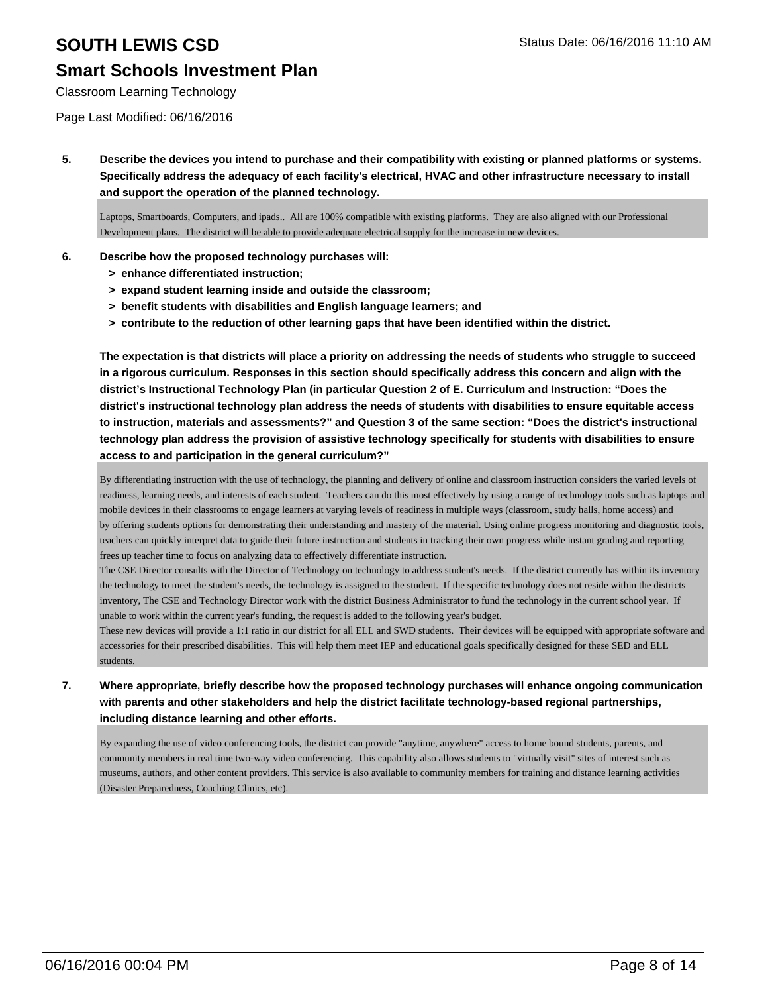## **Smart Schools Investment Plan**

Classroom Learning Technology

#### Page Last Modified: 06/16/2016

**5. Describe the devices you intend to purchase and their compatibility with existing or planned platforms or systems. Specifically address the adequacy of each facility's electrical, HVAC and other infrastructure necessary to install and support the operation of the planned technology.**

Laptops, Smartboards, Computers, and ipads.. All are 100% compatible with existing platforms. They are also aligned with our Professional Development plans. The district will be able to provide adequate electrical supply for the increase in new devices.

#### **6. Describe how the proposed technology purchases will:**

- **> enhance differentiated instruction;**
- **> expand student learning inside and outside the classroom;**
- **> benefit students with disabilities and English language learners; and**
- **> contribute to the reduction of other learning gaps that have been identified within the district.**

**The expectation is that districts will place a priority on addressing the needs of students who struggle to succeed in a rigorous curriculum. Responses in this section should specifically address this concern and align with the district's Instructional Technology Plan (in particular Question 2 of E. Curriculum and Instruction: "Does the district's instructional technology plan address the needs of students with disabilities to ensure equitable access to instruction, materials and assessments?" and Question 3 of the same section: "Does the district's instructional technology plan address the provision of assistive technology specifically for students with disabilities to ensure access to and participation in the general curriculum?"**

By differentiating instruction with the use of technology, the planning and delivery of online and classroom instruction considers the varied levels of readiness, learning needs, and interests of each student. Teachers can do this most effectively by using a range of technology tools such as laptops and mobile devices in their classrooms to engage learners at varying levels of readiness in multiple ways (classroom, study halls, home access) and by offering students options for demonstrating their understanding and mastery of the material. Using online progress monitoring and diagnostic tools, teachers can quickly interpret data to guide their future instruction and students in tracking their own progress while instant grading and reporting frees up teacher time to focus on analyzing data to effectively differentiate instruction.

The CSE Director consults with the Director of Technology on technology to address student's needs. If the district currently has within its inventory the technology to meet the student's needs, the technology is assigned to the student. If the specific technology does not reside within the districts inventory, The CSE and Technology Director work with the district Business Administrator to fund the technology in the current school year. If unable to work within the current year's funding, the request is added to the following year's budget.

These new devices will provide a 1:1 ratio in our district for all ELL and SWD students. Their devices will be equipped with appropriate software and accessories for their prescribed disabilities. This will help them meet IEP and educational goals specifically designed for these SED and ELL students.

#### **7. Where appropriate, briefly describe how the proposed technology purchases will enhance ongoing communication with parents and other stakeholders and help the district facilitate technology-based regional partnerships, including distance learning and other efforts.**

By expanding the use of video conferencing tools, the district can provide "anytime, anywhere" access to home bound students, parents, and community members in real time two-way video conferencing. This capability also allows students to "virtually visit" sites of interest such as museums, authors, and other content providers. This service is also available to community members for training and distance learning activities (Disaster Preparedness, Coaching Clinics, etc).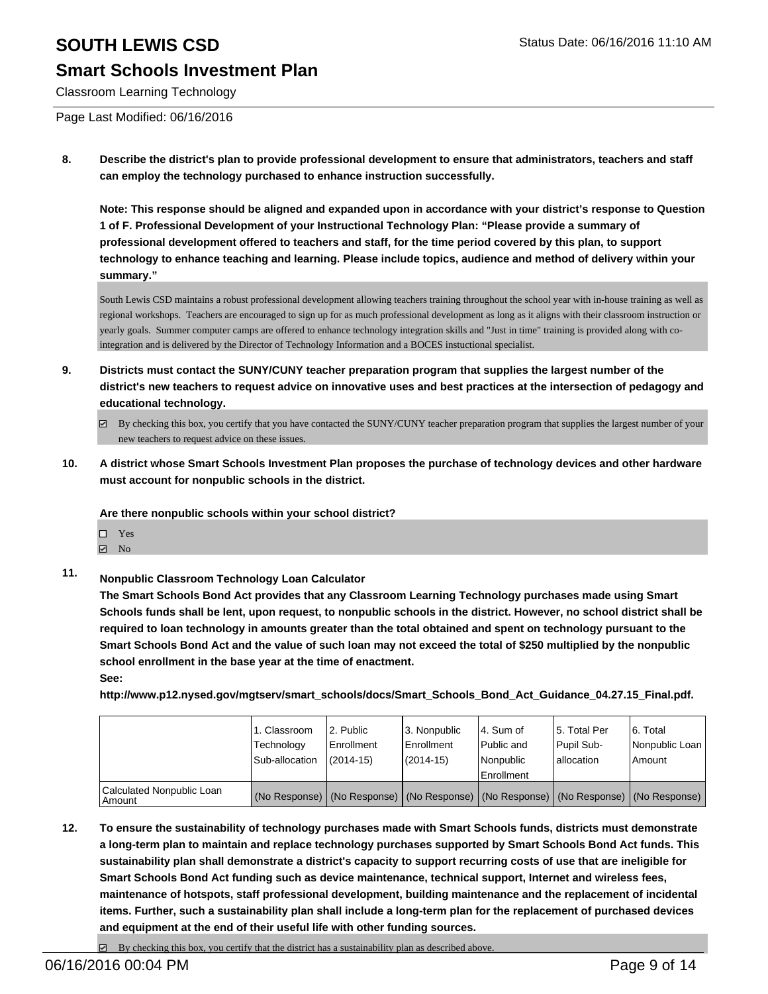Classroom Learning Technology

Page Last Modified: 06/16/2016

**8. Describe the district's plan to provide professional development to ensure that administrators, teachers and staff can employ the technology purchased to enhance instruction successfully.**

**Note: This response should be aligned and expanded upon in accordance with your district's response to Question 1 of F. Professional Development of your Instructional Technology Plan: "Please provide a summary of professional development offered to teachers and staff, for the time period covered by this plan, to support technology to enhance teaching and learning. Please include topics, audience and method of delivery within your summary."**

South Lewis CSD maintains a robust professional development allowing teachers training throughout the school year with in-house training as well as regional workshops. Teachers are encouraged to sign up for as much professional development as long as it aligns with their classroom instruction or yearly goals. Summer computer camps are offered to enhance technology integration skills and "Just in time" training is provided along with cointegration and is delivered by the Director of Technology Information and a BOCES instuctional specialist.

**9. Districts must contact the SUNY/CUNY teacher preparation program that supplies the largest number of the district's new teachers to request advice on innovative uses and best practices at the intersection of pedagogy and educational technology.**

**10. A district whose Smart Schools Investment Plan proposes the purchase of technology devices and other hardware must account for nonpublic schools in the district.**

**Are there nonpublic schools within your school district?**

- Yes
- **☑** No
- **11. Nonpublic Classroom Technology Loan Calculator**

**The Smart Schools Bond Act provides that any Classroom Learning Technology purchases made using Smart Schools funds shall be lent, upon request, to nonpublic schools in the district. However, no school district shall be required to loan technology in amounts greater than the total obtained and spent on technology pursuant to the Smart Schools Bond Act and the value of such loan may not exceed the total of \$250 multiplied by the nonpublic school enrollment in the base year at the time of enactment.**

**See:**

**http://www.p12.nysed.gov/mgtserv/smart\_schools/docs/Smart\_Schools\_Bond\_Act\_Guidance\_04.27.15\_Final.pdf.**

|                                     | 1. Classroom<br>Technology<br>Sub-allocation                                                  | 2. Public<br><b>Enrollment</b><br>$(2014 - 15)$ | l 3. Nonpublic<br><b>Enrollment</b><br>(2014-15) | 4. Sum of<br>Public and<br>Nonpublic<br>Enrollment | 15. Total Per<br>Pupil Sub-<br>Iallocation | 6. Total<br>Nonpublic Loan<br>Amount |
|-------------------------------------|-----------------------------------------------------------------------------------------------|-------------------------------------------------|--------------------------------------------------|----------------------------------------------------|--------------------------------------------|--------------------------------------|
| Calculated Nonpublic Loan<br>Amount | (No Response)   (No Response)   (No Response)   (No Response)   (No Response)   (No Response) |                                                 |                                                  |                                                    |                                            |                                      |

**12. To ensure the sustainability of technology purchases made with Smart Schools funds, districts must demonstrate a long-term plan to maintain and replace technology purchases supported by Smart Schools Bond Act funds. This sustainability plan shall demonstrate a district's capacity to support recurring costs of use that are ineligible for Smart Schools Bond Act funding such as device maintenance, technical support, Internet and wireless fees, maintenance of hotspots, staff professional development, building maintenance and the replacement of incidental items. Further, such a sustainability plan shall include a long-term plan for the replacement of purchased devices and equipment at the end of their useful life with other funding sources.**

By checking this box, you certify that the district has a sustainability plan as described above.

 $\boxtimes$  By checking this box, you certify that you have contacted the SUNY/CUNY teacher preparation program that supplies the largest number of your new teachers to request advice on these issues.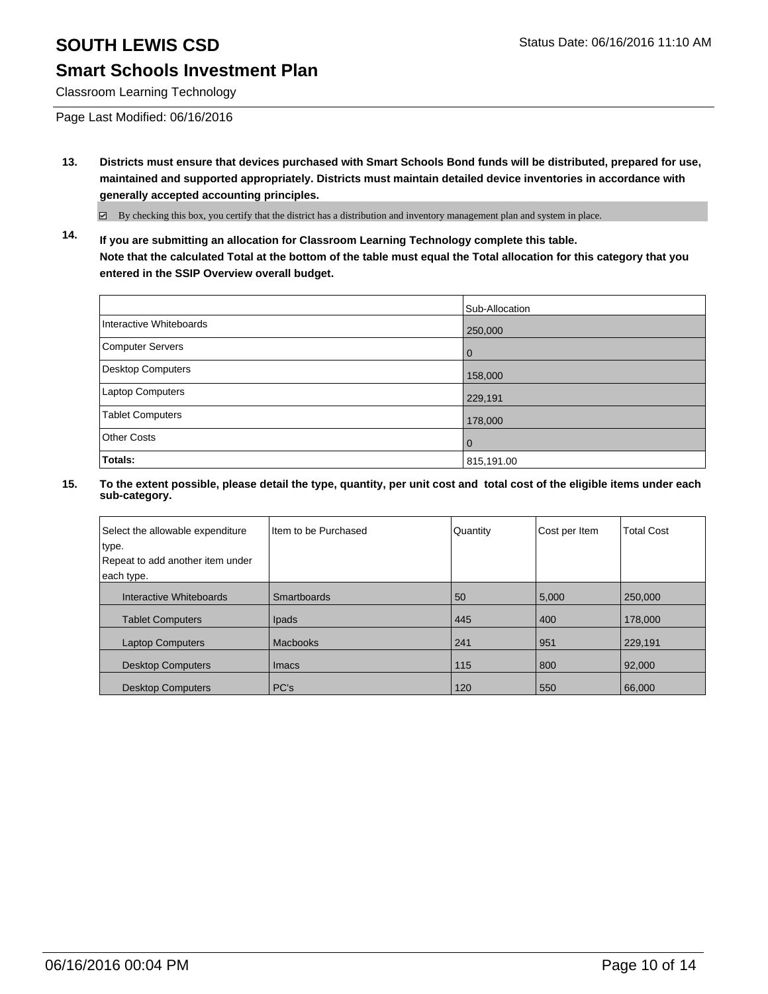## **Smart Schools Investment Plan**

Classroom Learning Technology

Page Last Modified: 06/16/2016

**13. Districts must ensure that devices purchased with Smart Schools Bond funds will be distributed, prepared for use, maintained and supported appropriately. Districts must maintain detailed device inventories in accordance with generally accepted accounting principles.**

 $\boxtimes$  By checking this box, you certify that the district has a distribution and inventory management plan and system in place.

**14. If you are submitting an allocation for Classroom Learning Technology complete this table. Note that the calculated Total at the bottom of the table must equal the Total allocation for this category that you entered in the SSIP Overview overall budget.**

|                         | Sub-Allocation |
|-------------------------|----------------|
| Interactive Whiteboards | 250,000        |
| Computer Servers        | 0              |
| Desktop Computers       | 158,000        |
| Laptop Computers        | 229,191        |
| <b>Tablet Computers</b> | 178,000        |
| Other Costs             | O              |
| Totals:                 | 815,191.00     |

| Select the allowable expenditure<br>type. | I Item to be Purchased | Quantity | Cost per Item | <b>Total Cost</b> |
|-------------------------------------------|------------------------|----------|---------------|-------------------|
| Repeat to add another item under          |                        |          |               |                   |
| each type.                                |                        |          |               |                   |
| Interactive Whiteboards                   | Smartboards            | 50       | 5,000         | 250,000           |
| <b>Tablet Computers</b>                   | Ipads                  | 445      | 400           | 178,000           |
| <b>Laptop Computers</b>                   | Macbooks               | 241      | 951           | 229.191           |
| <b>Desktop Computers</b>                  | <b>Imacs</b>           | 115      | 800           | 92,000            |
| <b>Desktop Computers</b>                  | PC's                   | 120      | 550           | 66,000            |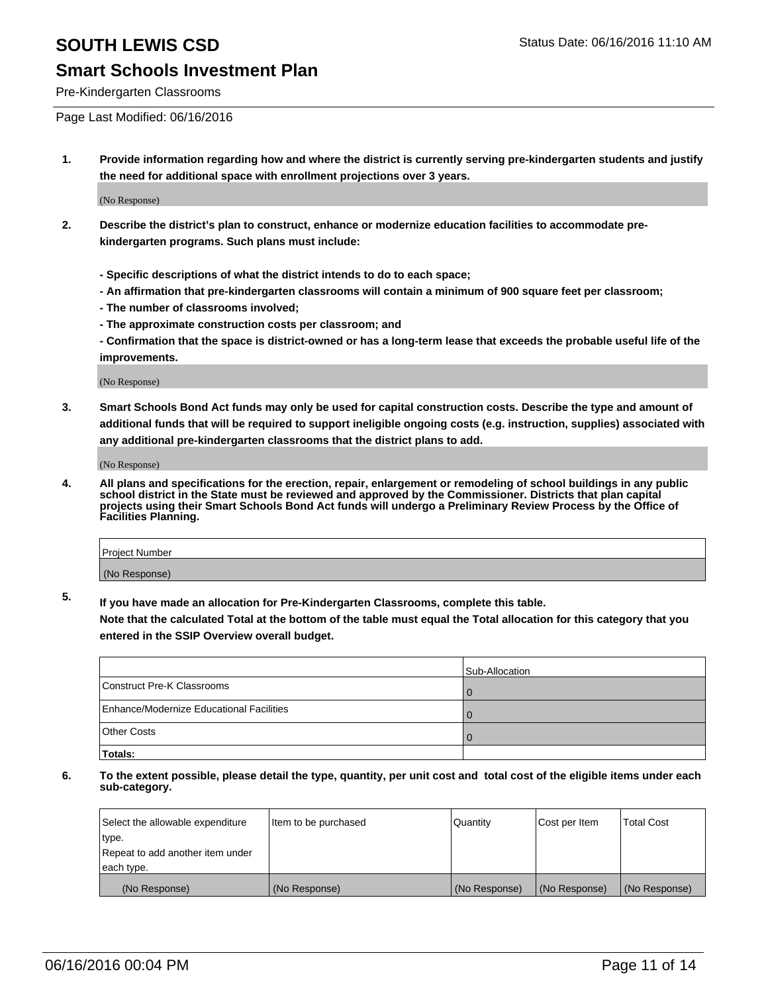#### Pre-Kindergarten Classrooms

Page Last Modified: 06/16/2016

**1. Provide information regarding how and where the district is currently serving pre-kindergarten students and justify the need for additional space with enrollment projections over 3 years.**

(No Response)

- **2. Describe the district's plan to construct, enhance or modernize education facilities to accommodate prekindergarten programs. Such plans must include:**
	- **Specific descriptions of what the district intends to do to each space;**
	- **An affirmation that pre-kindergarten classrooms will contain a minimum of 900 square feet per classroom;**
	- **The number of classrooms involved;**
	- **The approximate construction costs per classroom; and**
	- **Confirmation that the space is district-owned or has a long-term lease that exceeds the probable useful life of the improvements.**

(No Response)

**3. Smart Schools Bond Act funds may only be used for capital construction costs. Describe the type and amount of additional funds that will be required to support ineligible ongoing costs (e.g. instruction, supplies) associated with any additional pre-kindergarten classrooms that the district plans to add.**

(No Response)

**4. All plans and specifications for the erection, repair, enlargement or remodeling of school buildings in any public school district in the State must be reviewed and approved by the Commissioner. Districts that plan capital projects using their Smart Schools Bond Act funds will undergo a Preliminary Review Process by the Office of Facilities Planning.**

| Project Number |  |
|----------------|--|
| (No Response)  |  |

**5. If you have made an allocation for Pre-Kindergarten Classrooms, complete this table.**

**Note that the calculated Total at the bottom of the table must equal the Total allocation for this category that you entered in the SSIP Overview overall budget.**

|                                          | Sub-Allocation |
|------------------------------------------|----------------|
| Construct Pre-K Classrooms               |                |
| Enhance/Modernize Educational Facilities |                |
| <b>Other Costs</b>                       |                |
| Totals:                                  |                |

| Select the allowable expenditure | Item to be purchased | Quantity      | Cost per Item | <b>Total Cost</b> |
|----------------------------------|----------------------|---------------|---------------|-------------------|
| type.                            |                      |               |               |                   |
| Repeat to add another item under |                      |               |               |                   |
| each type.                       |                      |               |               |                   |
| (No Response)                    | (No Response)        | (No Response) | (No Response) | (No Response)     |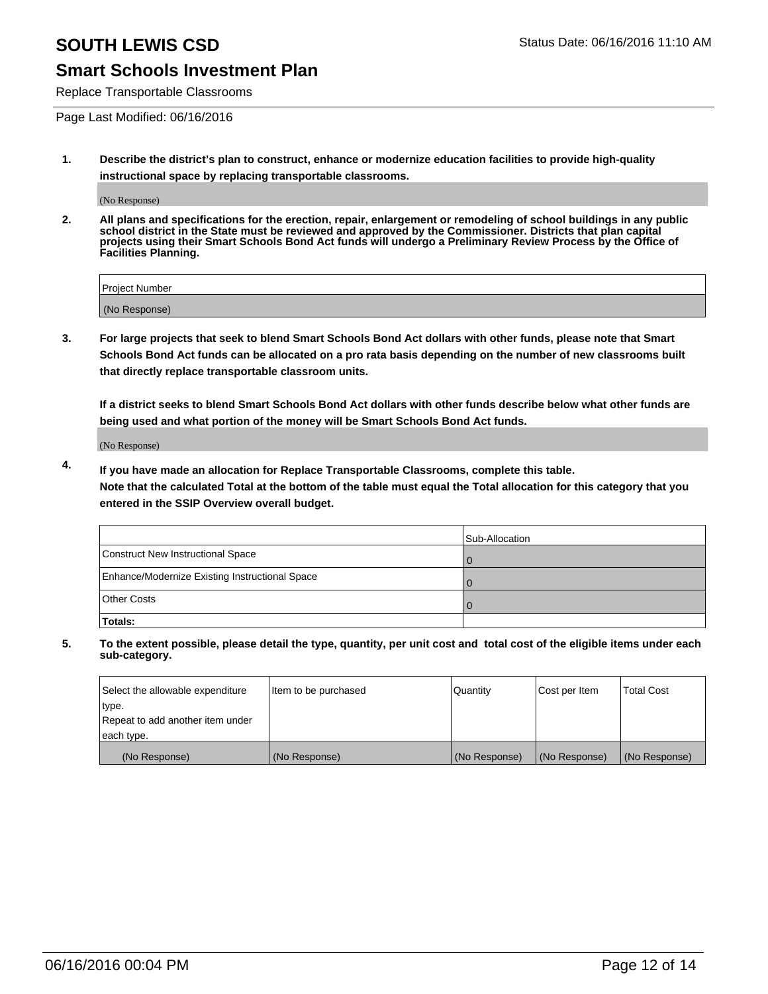## **Smart Schools Investment Plan**

Replace Transportable Classrooms

Page Last Modified: 06/16/2016

**1. Describe the district's plan to construct, enhance or modernize education facilities to provide high-quality instructional space by replacing transportable classrooms.**

(No Response)

**2. All plans and specifications for the erection, repair, enlargement or remodeling of school buildings in any public school district in the State must be reviewed and approved by the Commissioner. Districts that plan capital projects using their Smart Schools Bond Act funds will undergo a Preliminary Review Process by the Office of Facilities Planning.**

| <b>Project Number</b> |  |
|-----------------------|--|
| (No Response)         |  |

**3. For large projects that seek to blend Smart Schools Bond Act dollars with other funds, please note that Smart Schools Bond Act funds can be allocated on a pro rata basis depending on the number of new classrooms built that directly replace transportable classroom units.**

**If a district seeks to blend Smart Schools Bond Act dollars with other funds describe below what other funds are being used and what portion of the money will be Smart Schools Bond Act funds.**

(No Response)

**4. If you have made an allocation for Replace Transportable Classrooms, complete this table. Note that the calculated Total at the bottom of the table must equal the Total allocation for this category that you entered in the SSIP Overview overall budget.**

|                                                | Sub-Allocation |
|------------------------------------------------|----------------|
| Construct New Instructional Space              |                |
| Enhance/Modernize Existing Instructional Space |                |
| Other Costs                                    |                |
| Totals:                                        |                |

| Select the allowable expenditure | Item to be purchased | Quantity      | Cost per Item | <b>Total Cost</b> |
|----------------------------------|----------------------|---------------|---------------|-------------------|
| type.                            |                      |               |               |                   |
| Repeat to add another item under |                      |               |               |                   |
| each type.                       |                      |               |               |                   |
| (No Response)                    | (No Response)        | (No Response) | (No Response) | (No Response)     |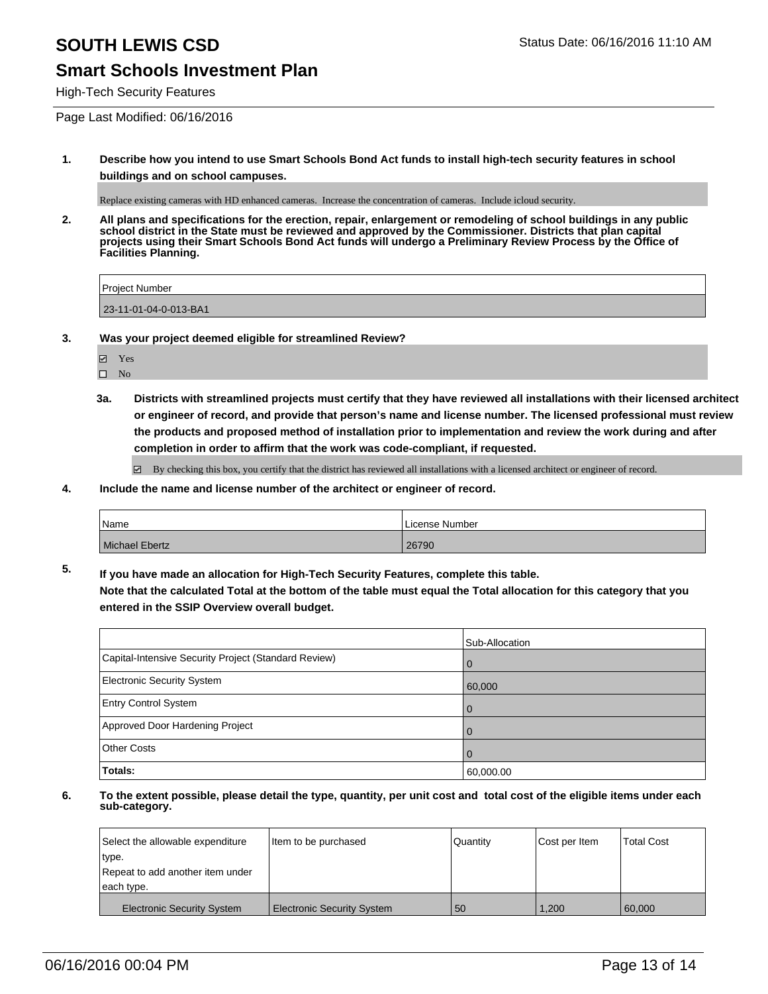## **Smart Schools Investment Plan**

High-Tech Security Features

Page Last Modified: 06/16/2016

**1. Describe how you intend to use Smart Schools Bond Act funds to install high-tech security features in school buildings and on school campuses.**

Replace existing cameras with HD enhanced cameras. Increase the concentration of cameras. Include icloud security.

**2. All plans and specifications for the erection, repair, enlargement or remodeling of school buildings in any public school district in the State must be reviewed and approved by the Commissioner. Districts that plan capital projects using their Smart Schools Bond Act funds will undergo a Preliminary Review Process by the Office of Facilities Planning.** 

| <b>Project Number</b> |  |
|-----------------------|--|
| 23-11-01-04-0-013-BA1 |  |

**3. Was your project deemed eligible for streamlined Review?**

**Ø** Yes

 $\qquad \qquad$  No

**3a. Districts with streamlined projects must certify that they have reviewed all installations with their licensed architect or engineer of record, and provide that person's name and license number. The licensed professional must review the products and proposed method of installation prior to implementation and review the work during and after completion in order to affirm that the work was code-compliant, if requested.**

By checking this box, you certify that the district has reviewed all installations with a licensed architect or engineer of record.

**4. Include the name and license number of the architect or engineer of record.**

| Name                  | License Number |
|-----------------------|----------------|
| <b>Michael Ebertz</b> | 26790          |

**5. If you have made an allocation for High-Tech Security Features, complete this table. Note that the calculated Total at the bottom of the table must equal the Total allocation for this category that you entered in the SSIP Overview overall budget.**

|                                                      | Sub-Allocation |
|------------------------------------------------------|----------------|
| Capital-Intensive Security Project (Standard Review) | $\Omega$       |
| <b>Electronic Security System</b>                    | 60,000         |
| <b>Entry Control System</b>                          | $\mathbf{U}$   |
| Approved Door Hardening Project                      |                |
| Other Costs                                          | $\mathbf{U}$   |
| <b>Totals:</b>                                       | 60,000.00      |

| Select the allowable expenditure  | Item to be purchased              | Quantity | Cost per Item | <b>Total Cost</b> |
|-----------------------------------|-----------------------------------|----------|---------------|-------------------|
| type.                             |                                   |          |               |                   |
| Repeat to add another item under  |                                   |          |               |                   |
| each type.                        |                                   |          |               |                   |
| <b>Electronic Security System</b> | <b>Electronic Security System</b> | l 50     | 1.200         | 60,000            |